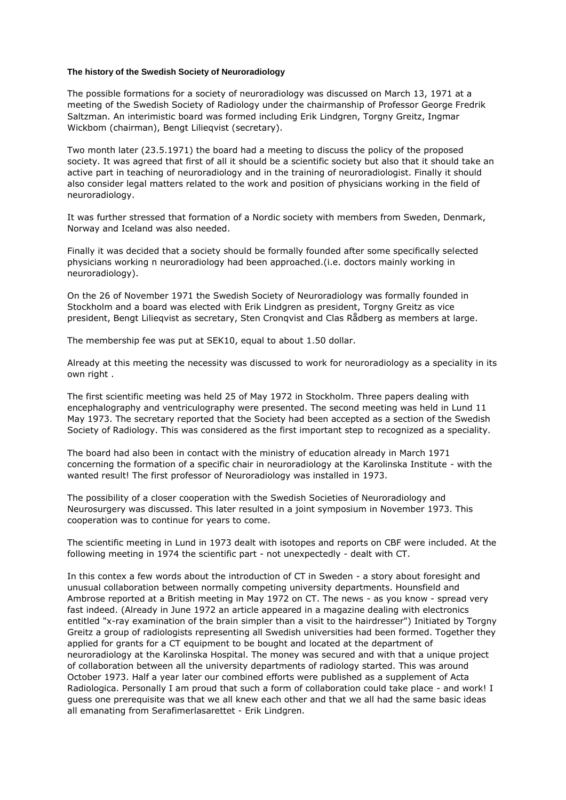## **The history of the Swedish Society of Neuroradiology**

The possible formations for a society of neuroradiology was discussed on March 13, 1971 at a meeting of the Swedish Society of Radiology under the chairmanship of Professor George Fredrik Saltzman. An interimistic board was formed including Erik Lindgren, Torgny Greitz, Ingmar Wickbom (chairman), Bengt Lilieqvist (secretary).

Two month later (23.5.1971) the board had a meeting to discuss the policy of the proposed society. It was agreed that first of all it should be a scientific society but also that it should take an active part in teaching of neuroradiology and in the training of neuroradiologist. Finally it should also consider legal matters related to the work and position of physicians working in the field of neuroradiology.

It was further stressed that formation of a Nordic society with members from Sweden, Denmark, Norway and Iceland was also needed.

Finally it was decided that a society should be formally founded after some specifically selected physicians working n neuroradiology had been approached.(i.e. doctors mainly working in neuroradiology).

On the 26 of November 1971 the Swedish Society of Neuroradiology was formally founded in Stockholm and a board was elected with Erik Lindgren as president, Torgny Greitz as vice president, Bengt Lilieqvist as secretary, Sten Cronqvist and Clas Rådberg as members at large.

The membership fee was put at SEK10, equal to about 1.50 dollar.

Already at this meeting the necessity was discussed to work for neuroradiology as a speciality in its own right .

The first scientific meeting was held 25 of May 1972 in Stockholm. Three papers dealing with encephalography and ventriculography were presented. The second meeting was held in Lund 11 May 1973. The secretary reported that the Society had been accepted as a section of the Swedish Society of Radiology. This was considered as the first important step to recognized as a speciality.

The board had also been in contact with the ministry of education already in March 1971 concerning the formation of a specific chair in neuroradiology at the Karolinska Institute - with the wanted result! The first professor of Neuroradiology was installed in 1973.

The possibility of a closer cooperation with the Swedish Societies of Neuroradiology and Neurosurgery was discussed. This later resulted in a joint symposium in November 1973. This cooperation was to continue for years to come.

The scientific meeting in Lund in 1973 dealt with isotopes and reports on CBF were included. At the following meeting in 1974 the scientific part - not unexpectedly - dealt with CT.

In this contex a few words about the introduction of CT in Sweden - a story about foresight and unusual collaboration between normally competing university departments. Hounsfield and Ambrose reported at a British meeting in May 1972 on CT. The news - as you know - spread very fast indeed. (Already in June 1972 an article appeared in a magazine dealing with electronics entitled "x-ray examination of the brain simpler than a visit to the hairdresser") Initiated by Torgny Greitz a group of radiologists representing all Swedish universities had been formed. Together they applied for grants for a CT equipment to be bought and located at the department of neuroradiology at the Karolinska Hospital. The money was secured and with that a unique project of collaboration between all the university departments of radiology started. This was around October 1973. Half a year later our combined efforts were published as a supplement of Acta Radiologica. Personally I am proud that such a form of collaboration could take place - and work! I guess one prerequisite was that we all knew each other and that we all had the same basic ideas all emanating from Serafimerlasarettet - Erik Lindgren.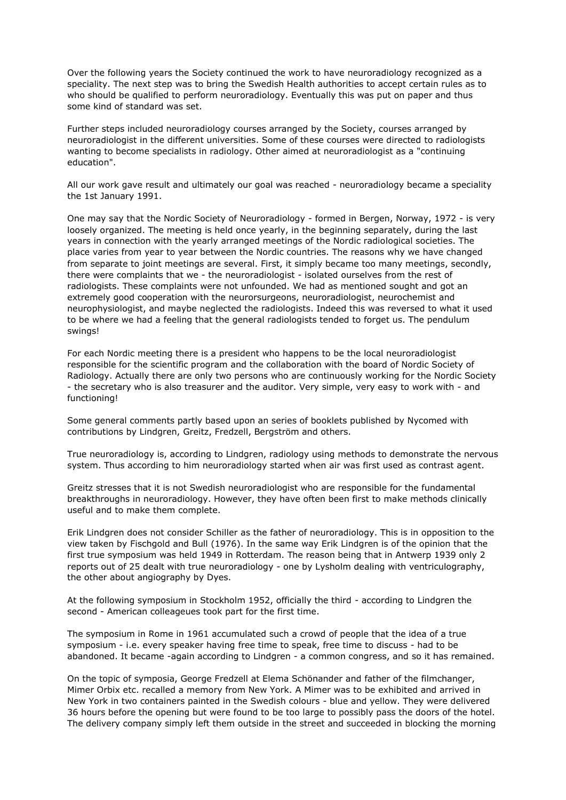Over the following years the Society continued the work to have neuroradiology recognized as a speciality. The next step was to bring the Swedish Health authorities to accept certain rules as to who should be qualified to perform neuroradiology. Eventually this was put on paper and thus some kind of standard was set.

Further steps included neuroradiology courses arranged by the Society, courses arranged by neuroradiologist in the different universities. Some of these courses were directed to radiologists wanting to become specialists in radiology. Other aimed at neuroradiologist as a "continuing education".

All our work gave result and ultimately our goal was reached - neuroradiology became a speciality the 1st January 1991.

One may say that the Nordic Society of Neuroradiology - formed in Bergen, Norway, 1972 - is very loosely organized. The meeting is held once yearly, in the beginning separately, during the last years in connection with the yearly arranged meetings of the Nordic radiological societies. The place varies from year to year between the Nordic countries. The reasons why we have changed from separate to joint meetings are several. First, it simply became too many meetings, secondly, there were complaints that we - the neuroradiologist - isolated ourselves from the rest of radiologists. These complaints were not unfounded. We had as mentioned sought and got an extremely good cooperation with the neurorsurgeons, neuroradiologist, neurochemist and neurophysiologist, and maybe neglected the radiologists. Indeed this was reversed to what it used to be where we had a feeling that the general radiologists tended to forget us. The pendulum swings!

For each Nordic meeting there is a president who happens to be the local neuroradiologist responsible for the scientific program and the collaboration with the board of Nordic Society of Radiology. Actually there are only two persons who are continuously working for the Nordic Society - the secretary who is also treasurer and the auditor. Very simple, very easy to work with - and functioning!

Some general comments partly based upon an series of booklets published by Nycomed with contributions by Lindgren, Greitz, Fredzell, Bergström and others.

True neuroradiology is, according to Lindgren, radiology using methods to demonstrate the nervous system. Thus according to him neuroradiology started when air was first used as contrast agent.

Greitz stresses that it is not Swedish neuroradiologist who are responsible for the fundamental breakthroughs in neuroradiology. However, they have often been first to make methods clinically useful and to make them complete.

Erik Lindgren does not consider Schiller as the father of neuroradiology. This is in opposition to the view taken by Fischgold and Bull (1976). In the same way Erik Lindgren is of the opinion that the first true symposium was held 1949 in Rotterdam. The reason being that in Antwerp 1939 only 2 reports out of 25 dealt with true neuroradiology - one by Lysholm dealing with ventriculography, the other about angiography by Dyes.

At the following symposium in Stockholm 1952, officially the third - according to Lindgren the second - American colleageues took part for the first time.

The symposium in Rome in 1961 accumulated such a crowd of people that the idea of a true symposium - i.e. every speaker having free time to speak, free time to discuss - had to be abandoned. It became -again according to Lindgren - a common congress, and so it has remained.

On the topic of symposia, George Fredzell at Elema Schönander and father of the filmchanger, Mimer Orbix etc. recalled a memory from New York. A Mimer was to be exhibited and arrived in New York in two containers painted in the Swedish colours - blue and yellow. They were delivered 36 hours before the opening but were found to be too large to possibly pass the doors of the hotel. The delivery company simply left them outside in the street and succeeded in blocking the morning